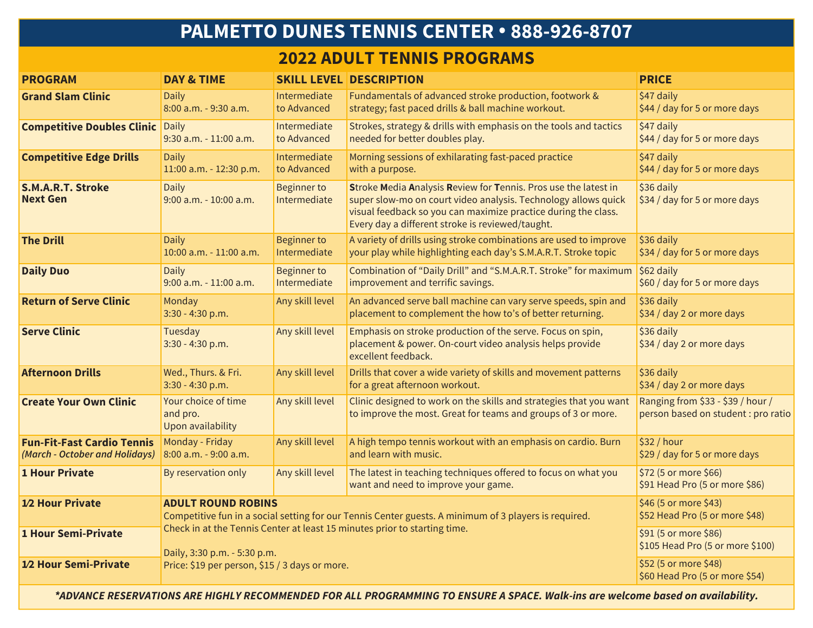# **PALMETTO DUNES TENNIS CENTER • 888-926-8707**

### **2022 ADULT TENNIS PROGRAMS**

| <b>PROGRAM</b>                                                      | <b>DAY &amp; TIME</b>                                                                                                              |                                                           | <b>SKILL LEVEL DESCRIPTION</b>                                                                                                                                                                                                                          | <b>PRICE</b>                                                             |
|---------------------------------------------------------------------|------------------------------------------------------------------------------------------------------------------------------------|-----------------------------------------------------------|---------------------------------------------------------------------------------------------------------------------------------------------------------------------------------------------------------------------------------------------------------|--------------------------------------------------------------------------|
| <b>Grand Slam Clinic</b>                                            | <b>Daily</b><br>8:00 a.m. - 9:30 a.m.                                                                                              | Intermediate<br>to Advanced                               | Fundamentals of advanced stroke production, footwork &<br>strategy; fast paced drills & ball machine workout.                                                                                                                                           | \$47 daily<br>\$44 / day for 5 or more days                              |
| <b>Competitive Doubles Clinic Daily</b>                             | 9:30 a.m. - 11:00 a.m.                                                                                                             | Intermediate<br>to Advanced                               | Strokes, strategy & drills with emphasis on the tools and tactics<br>needed for better doubles play.                                                                                                                                                    | \$47 daily<br>\$44 / day for 5 or more days                              |
| <b>Competitive Edge Drills</b>                                      | <b>Daily</b><br>11:00 a.m. - 12:30 p.m.                                                                                            | Intermediate<br>to Advanced                               | Morning sessions of exhilarating fast-paced practice<br>with a purpose.                                                                                                                                                                                 | \$47 daily<br>\$44 / day for 5 or more days                              |
| <b>S.M.A.R.T. Stroke</b><br><b>Next Gen</b>                         | <b>Daily</b><br>9:00 a.m. - 10:00 a.m.                                                                                             | <b>Beginner to</b><br>Intermediate                        | Stroke Media Analysis Review for Tennis. Pros use the latest in<br>super slow-mo on court video analysis. Technology allows quick<br>visual feedback so you can maximize practice during the class.<br>Every day a different stroke is reviewed/taught. | \$36 daily<br>\$34 / day for 5 or more days                              |
| <b>The Drill</b>                                                    | <b>Daily</b><br>10:00 a.m. - 11:00 a.m.                                                                                            | <b>Beginner to</b><br>Intermediate                        | A variety of drills using stroke combinations are used to improve<br>your play while highlighting each day's S.M.A.R.T. Stroke topic                                                                                                                    | \$36 daily<br>\$34 / day for 5 or more days                              |
| <b>Daily Duo</b>                                                    | <b>Daily</b><br>9:00 a.m. - 11:00 a.m.                                                                                             | <b>Beginner to</b><br>Intermediate                        | Combination of "Daily Drill" and "S.M.A.R.T. Stroke" for maximum<br>improvement and terrific savings.                                                                                                                                                   | \$62 daily<br>\$60 / day for 5 or more days                              |
| <b>Return of Serve Clinic</b>                                       | Monday<br>$3:30 - 4:30 p.m.$                                                                                                       | Any skill level                                           | An advanced serve ball machine can vary serve speeds, spin and<br>placement to complement the how to's of better returning.                                                                                                                             | \$36 daily<br>\$34 / day 2 or more days                                  |
| <b>Serve Clinic</b>                                                 | Tuesday<br>3:30 - 4:30 p.m.                                                                                                        | Any skill level                                           | Emphasis on stroke production of the serve. Focus on spin,<br>placement & power. On-court video analysis helps provide<br>excellent feedback.                                                                                                           | \$36 daily<br>\$34 / day 2 or more days                                  |
| <b>Afternoon Drills</b>                                             | Wed., Thurs. & Fri.<br>3:30 - 4:30 p.m.                                                                                            | Any skill level                                           | Drills that cover a wide variety of skills and movement patterns<br>for a great afternoon workout.                                                                                                                                                      | \$36 daily<br>\$34 / day 2 or more days                                  |
| <b>Create Your Own Clinic</b>                                       | Your choice of time<br>and pro.<br>Upon availability                                                                               | Any skill level                                           | Clinic designed to work on the skills and strategies that you want<br>to improve the most. Great for teams and groups of 3 or more.                                                                                                                     | Ranging from \$33 - \$39 / hour /<br>person based on student : pro ratio |
| <b>Fun-Fit-Fast Cardio Tennis</b><br>(March - October and Holidays) | Monday - Friday<br>8:00 a.m. - 9:00 a.m.                                                                                           | Any skill level                                           | A high tempo tennis workout with an emphasis on cardio. Burn<br>and learn with music.                                                                                                                                                                   | \$32 / hour<br>\$29 / day for 5 or more days                             |
| <b>1 Hour Private</b>                                               | By reservation only                                                                                                                | Any skill level                                           | The latest in teaching techniques offered to focus on what you<br>want and need to improve your game.                                                                                                                                                   | \$72 (5 or more \$66)<br>\$91 Head Pro (5 or more \$86)                  |
| 1/2 Hour Private                                                    | <b>ADULT ROUND ROBINS</b><br>Competitive fun in a social setting for our Tennis Center guests. A minimum of 3 players is required. | \$46 (5 or more \$43)<br>\$52 Head Pro (5 or more \$48)   |                                                                                                                                                                                                                                                         |                                                                          |
| <b>1 Hour Semi-Private</b>                                          | Check in at the Tennis Center at least 15 minutes prior to starting time.<br>Daily, 3:30 p.m. - 5:30 p.m.                          | \$91 (5 or more \$86)<br>\$105 Head Pro (5 or more \$100) |                                                                                                                                                                                                                                                         |                                                                          |
| 1/2 Hour Semi-Private                                               | Price: \$19 per person, \$15 / 3 days or more.                                                                                     | \$52 (5 or more \$48)<br>\$60 Head Pro (5 or more \$54)   |                                                                                                                                                                                                                                                         |                                                                          |

*\*ADVANCE RESERVATIONS ARE HIGHLY RECOMMENDED FOR ALL PROGRAMMING TO ENSURE A SPACE. Walk-ins are welcome based on availability.*